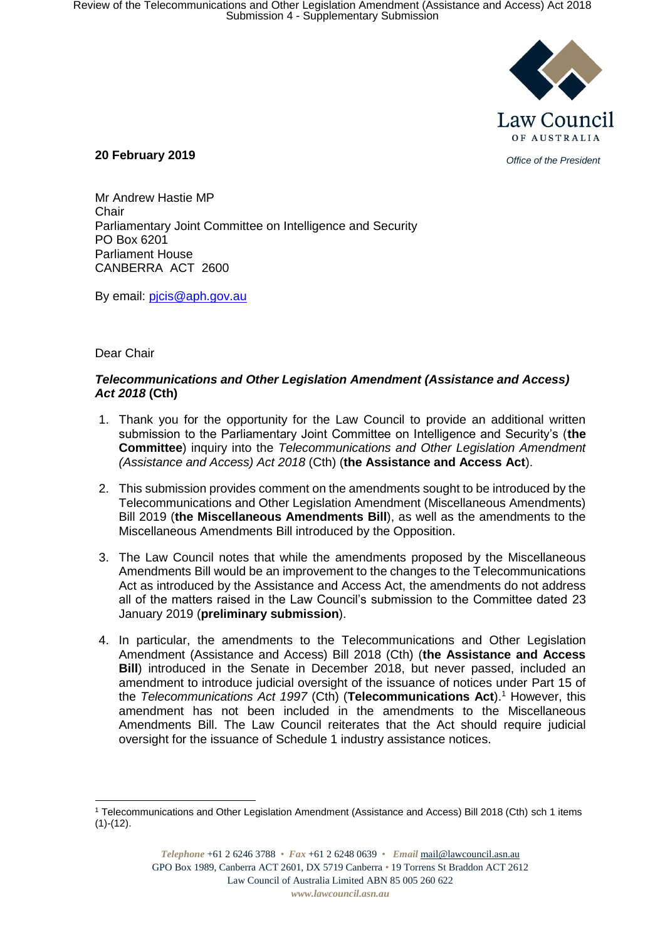

*Office of the President* **20 February 2019** 

Mr Andrew Hastie MP Chair Parliamentary Joint Committee on Intelligence and Security PO Box 6201 Parliament House CANBERRA ACT 2600

By email: pjcis@aph.gov.au

Dear Chair

## *Telecommunications and Other Legislation Amendment (Assistance and Access) Act 2018* **(Cth)**

- 1. Thank you for the opportunity for the Law Council to provide an additional written submission to the Parliamentary Joint Committee on Intelligence and Security's (**the Committee**) inquiry into the *Telecommunications and Other Legislation Amendment (Assistance and Access) Act 2018* (Cth) (**the Assistance and Access Act**).
- 2. This submission provides comment on the amendments sought to be introduced by the Telecommunications and Other Legislation Amendment (Miscellaneous Amendments) Bill 2019 (**the Miscellaneous Amendments Bill**), as well as the amendments to the Miscellaneous Amendments Bill introduced by the Opposition.
- 3. The Law Council notes that while the amendments proposed by the Miscellaneous Amendments Bill would be an improvement to the changes to the Telecommunications Act as introduced by the Assistance and Access Act, the amendments do not address all of the matters raised in the Law Council's submission to the Committee dated 23 January 2019 (**preliminary submission**).
- 4. In particular, the amendments to the Telecommunications and Other Legislation Amendment (Assistance and Access) Bill 2018 (Cth) (**the Assistance and Access Bill**) introduced in the Senate in December 2018, but never passed, included an amendment to introduce judicial oversight of the issuance of notices under Part 15 of the *Telecommunications Act 1997* (Cth) (**Telecommunications Act**).<sup>1</sup> However, this amendment has not been included in the amendments to the Miscellaneous Amendments Bill. The Law Council reiterates that the Act should require judicial oversight for the issuance of Schedule 1 industry assistance notices.

<sup>1</sup> <sup>1</sup> Telecommunications and Other Legislation Amendment (Assistance and Access) Bill 2018 (Cth) sch 1 items  $(1)-(12)$ .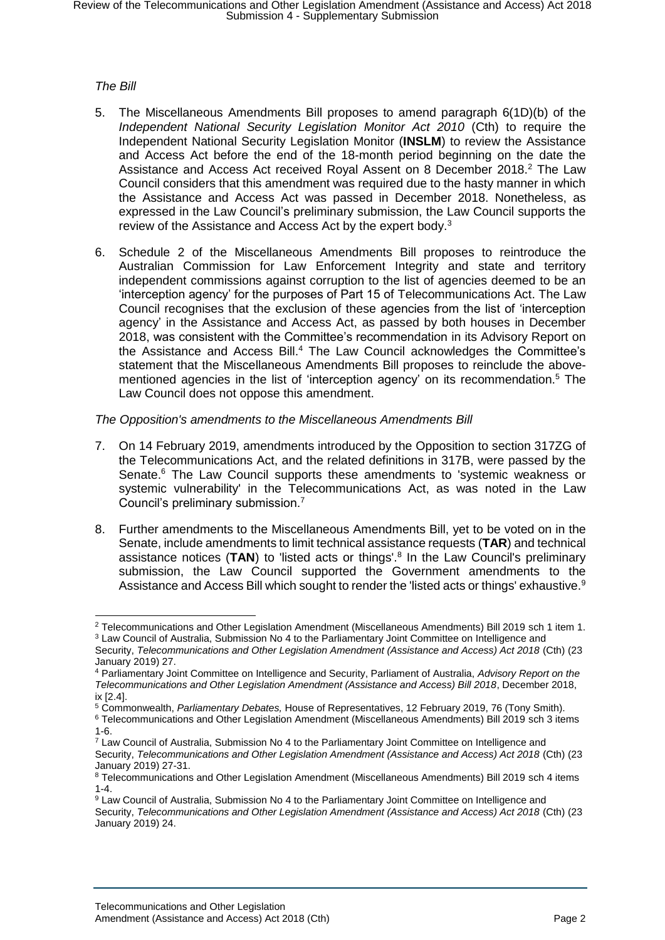## *The Bill*

- 5. The Miscellaneous Amendments Bill proposes to amend paragraph 6(1D)(b) of the *Independent National Security Legislation Monitor Act 2010* (Cth) to require the Independent National Security Legislation Monitor (**INSLM**) to review the Assistance and Access Act before the end of the 18-month period beginning on the date the Assistance and Access Act received Royal Assent on 8 December 2018.<sup>2</sup> The Law Council considers that this amendment was required due to the hasty manner in which the Assistance and Access Act was passed in December 2018. Nonetheless, as expressed in the Law Council's preliminary submission, the Law Council supports the review of the Assistance and Access Act by the expert body.<sup>3</sup>
- 6. Schedule 2 of the Miscellaneous Amendments Bill proposes to reintroduce the Australian Commission for Law Enforcement Integrity and state and territory independent commissions against corruption to the list of agencies deemed to be an 'interception agency' for the purposes of Part 15 of Telecommunications Act. The Law Council recognises that the exclusion of these agencies from the list of 'interception agency' in the Assistance and Access Act, as passed by both houses in December 2018, was consistent with the Committee's recommendation in its Advisory Report on the Assistance and Access Bill. <sup>4</sup> The Law Council acknowledges the Committee's statement that the Miscellaneous Amendments Bill proposes to reinclude the abovementioned agencies in the list of 'interception agency' on its recommendation.<sup>5</sup> The Law Council does not oppose this amendment.

## *The Opposition's amendments to the Miscellaneous Amendments Bill*

- 7. On 14 February 2019, amendments introduced by the Opposition to section 317ZG of the Telecommunications Act, and the related definitions in 317B, were passed by the Senate.<sup>6</sup> The Law Council supports these amendments to 'systemic weakness or systemic vulnerability' in the Telecommunications Act, as was noted in the Law Council's preliminary submission.<sup>7</sup>
- 8. Further amendments to the Miscellaneous Amendments Bill, yet to be voted on in the Senate, include amendments to limit technical assistance requests (**TAR**) and technical assistance notices (TAN) to 'listed acts or things'.<sup>8</sup> In the Law Council's preliminary submission, the Law Council supported the Government amendments to the Assistance and Access Bill which sought to render the 'listed acts or things' exhaustive.<sup>9</sup>

- <sup>5</sup> Commonwealth, *Parliamentary Debates,* House of Representatives, 12 February 2019, 76 (Tony Smith).
- <sup>6</sup> Telecommunications and Other Legislation Amendment (Miscellaneous Amendments) Bill 2019 sch 3 items 1-6.
- <sup>7</sup> Law Council of Australia, Submission No 4 to the Parliamentary Joint Committee on Intelligence and Security, *Telecommunications and Other Legislation Amendment (Assistance and Access) Act 2018* (Cth) (23 January 2019) 27-31.

<sup>1</sup> <sup>2</sup> Telecommunications and Other Legislation Amendment (Miscellaneous Amendments) Bill 2019 sch 1 item 1. <sup>3</sup> Law Council of Australia, Submission No 4 to the Parliamentary Joint Committee on Intelligence and

Security, *Telecommunications and Other Legislation Amendment (Assistance and Access) Act 2018* (Cth) (23 January 2019) 27.

<sup>4</sup> Parliamentary Joint Committee on Intelligence and Security, Parliament of Australia, *Advisory Report on the Telecommunications and Other Legislation Amendment (Assistance and Access) Bill 2018*, December 2018, ix [2.4].

<sup>8</sup> Telecommunications and Other Legislation Amendment (Miscellaneous Amendments) Bill 2019 sch 4 items 1-4.

<sup>9</sup> Law Council of Australia, Submission No 4 to the Parliamentary Joint Committee on Intelligence and Security, *Telecommunications and Other Legislation Amendment (Assistance and Access) Act 2018* (Cth) (23 January 2019) 24.